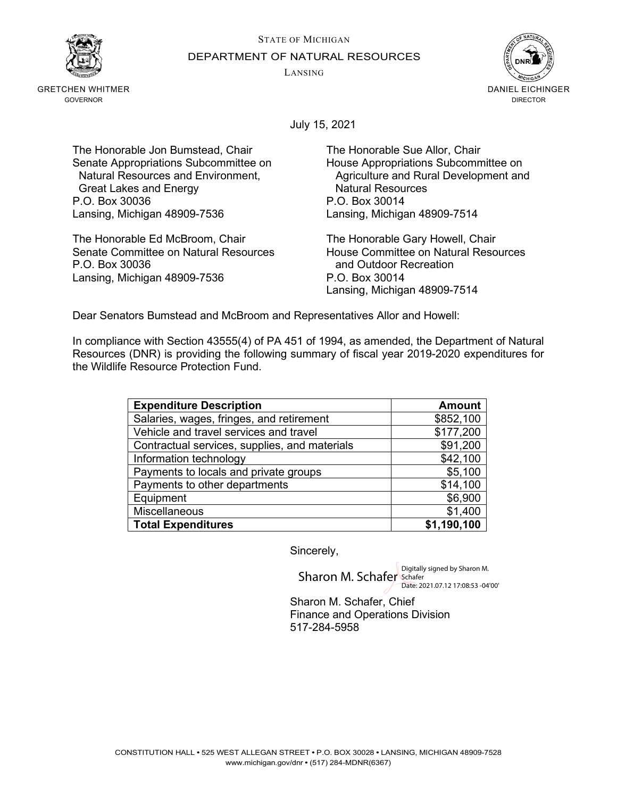STATE OF MICHIGAN



GRETCHEN WHITMER GOVERNOR

DEPARTMENT OF NATURAL RESOURCES

LANSING



July 15, 2021

The Honorable Jon Bumstead, Chair The Honorable Sue Allor, Chair Senate Appropriations Subcommittee on Fouse Appropriations Subcommittee on<br>Natural Resources and Environment, Four Agriculture and Rural Development and Great Lakes and Energy **Natural Resources**<br>
G. Box 30036 <br>
P.O. Box 30014 P.O. Box 30036 Lansing, Michigan 48909-7536 Lansing, Michigan 48909-7514

The Honorable Ed McBroom, Chair The Honorable Gary Howell, Chair Senate Committee on Natural Resources<br>P.O. Box 30036 **House Committee on Natural Resources**<br>and Outdoor Recreation Lansing, Michigan 48909-7536 P.O. Box 30014

Agriculture and Rural Development and

and Outdoor Recreation Lansing, Michigan 48909-7514

Dear Senators Bumstead and McBroom and Representatives Allor and Howell:

In compliance with Section 43555(4) of PA 451 of 1994, as amended, the Department of Natural Resources (DNR) is providing the following summary of fiscal year 2019-2020 expenditures for the Wildlife Resource Protection Fund.

| <b>Expenditure Description</b>                | <b>Amount</b> |
|-----------------------------------------------|---------------|
| Salaries, wages, fringes, and retirement      | \$852,100     |
| Vehicle and travel services and travel        | \$177,200     |
| Contractual services, supplies, and materials | \$91,200      |
| Information technology                        | \$42,100      |
| Payments to locals and private groups         | \$5,100       |
| Payments to other departments                 | \$14,100      |
| Equipment                                     | \$6,900       |
| Miscellaneous                                 | \$1,400       |
| <b>Total Expenditures</b>                     | \$1,190,100   |

Sincerely,

Sharon M. Schafer Schafer Date: 2021.07.12 17:08:53 -04'00'

Sharon M. Schafer, Chief Finance and Operations Division 517-284-5958